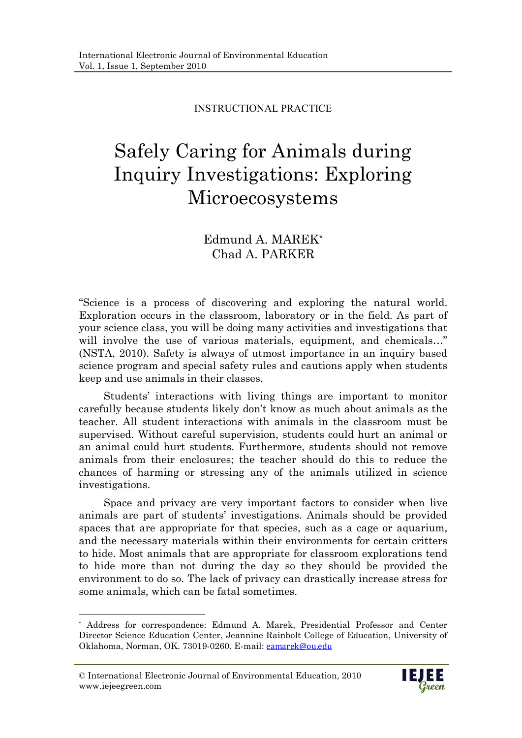INSTRUCTIONAL PRACTICE

# Safely Caring for Animals during Inquiry Investigations: Exploring Microecosystems

# Edmund A. MAREK\* Chad A. PARKER

"Science is a process of discovering and exploring the natural world. Exploration occurs in the classroom, laboratory or in the field. As part of your science class, you will be doing many activities and investigations that will involve the use of various materials, equipment, and chemicals..." (NSTA, 2010). Safety is always of utmost importance in an inquiry based science program and special safety rules and cautions apply when students keep and use animals in their classes.

Students' interactions with living things are important to monitor carefully because students likely don't know as much about animals as the teacher. All student interactions with animals in the classroom must be supervised. Without careful supervision, students could hurt an animal or an animal could hurt students. Furthermore, students should not remove animals from their enclosures; the teacher should do this to reduce the chances of harming or stressing any of the animals utilized in science investigations.

Space and privacy are very important factors to consider when live animals are part of students' investigations. Animals should be provided spaces that are appropriate for that species, such as a cage or aquarium, and the necessary materials within their environments for certain critters to hide. Most animals that are appropriate for classroom explorations tend to hide more than not during the day so they should be provided the environment to do so. The lack of privacy can drastically increase stress for some animals, which can be fatal sometimes.

-



<sup>\*</sup> Address for correspondence: Edmund A. Marek, Presidential Professor and Center Director Science Education Center, Jeannine Rainbolt College of Education, University of Oklahoma, Norman, OK. 73019-0260. E-mail: eamarek@ou.edu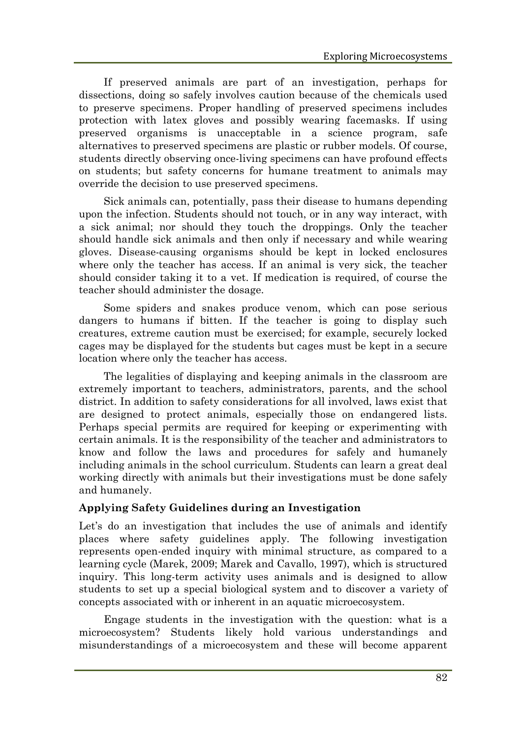If preserved animals are part of an investigation, perhaps for dissections, doing so safely involves caution because of the chemicals used to preserve specimens. Proper handling of preserved specimens includes protection with latex gloves and possibly wearing facemasks. If using preserved organisms is unacceptable in a science program, safe alternatives to preserved specimens are plastic or rubber models. Of course, students directly observing once-living specimens can have profound effects on students; but safety concerns for humane treatment to animals may override the decision to use preserved specimens.

Sick animals can, potentially, pass their disease to humans depending upon the infection. Students should not touch, or in any way interact, with a sick animal; nor should they touch the droppings. Only the teacher should handle sick animals and then only if necessary and while wearing gloves. Disease-causing organisms should be kept in locked enclosures where only the teacher has access. If an animal is very sick, the teacher should consider taking it to a vet. If medication is required, of course the teacher should administer the dosage.

Some spiders and snakes produce venom, which can pose serious dangers to humans if bitten. If the teacher is going to display such creatures, extreme caution must be exercised; for example, securely locked cages may be displayed for the students but cages must be kept in a secure location where only the teacher has access.

The legalities of displaying and keeping animals in the classroom are extremely important to teachers, administrators, parents, and the school district. In addition to safety considerations for all involved, laws exist that are designed to protect animals, especially those on endangered lists. Perhaps special permits are required for keeping or experimenting with certain animals. It is the responsibility of the teacher and administrators to know and follow the laws and procedures for safely and humanely including animals in the school curriculum. Students can learn a great deal working directly with animals but their investigations must be done safely and humanely.

## **Applying Safety Guidelines during an Investigation**

Let's do an investigation that includes the use of animals and identify places where safety guidelines apply. The following investigation represents open-ended inquiry with minimal structure, as compared to a learning cycle (Marek, 2009; Marek and Cavallo, 1997), which is structured inquiry. This long-term activity uses animals and is designed to allow students to set up a special biological system and to discover a variety of concepts associated with or inherent in an aquatic microecosystem.

Engage students in the investigation with the question: what is a microecosystem? Students likely hold various understandings and misunderstandings of a microecosystem and these will become apparent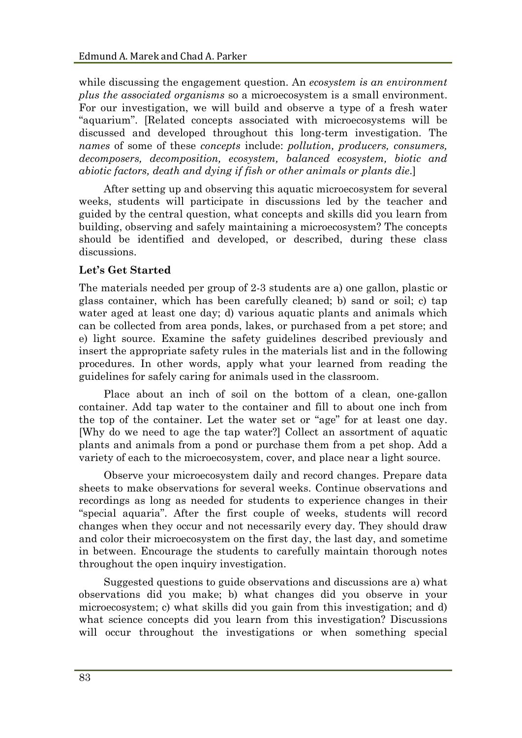while discussing the engagement question. An *ecosystem is an environment plus the associated organisms* so a microecosystem is a small environment. For our investigation, we will build and observe a type of a fresh water "aquarium". [Related concepts associated with microecosystems will be discussed and developed throughout this long-term investigation. The *names* of some of these *concepts* include: *pollution, producers, consumers, decomposers, decomposition, ecosystem, balanced ecosystem, biotic and abiotic factors, death and dying if fish or other animals or plants die*.]

After setting up and observing this aquatic microecosystem for several weeks, students will participate in discussions led by the teacher and guided by the central question, what concepts and skills did you learn from building, observing and safely maintaining a microecosystem? The concepts should be identified and developed, or described, during these class discussions.

## **Let's Get Started**

The materials needed per group of 2-3 students are a) one gallon, plastic or glass container, which has been carefully cleaned; b) sand or soil; c) tap water aged at least one day; d) various aquatic plants and animals which can be collected from area ponds, lakes, or purchased from a pet store; and e) light source. Examine the safety guidelines described previously and insert the appropriate safety rules in the materials list and in the following procedures. In other words, apply what your learned from reading the guidelines for safely caring for animals used in the classroom.

Place about an inch of soil on the bottom of a clean, one-gallon container. Add tap water to the container and fill to about one inch from the top of the container. Let the water set or "age" for at least one day. [Why do we need to age the tap water?] Collect an assortment of aquatic plants and animals from a pond or purchase them from a pet shop. Add a variety of each to the microecosystem, cover, and place near a light source.

Observe your microecosystem daily and record changes. Prepare data sheets to make observations for several weeks. Continue observations and recordings as long as needed for students to experience changes in their "special aquaria". After the first couple of weeks, students will record changes when they occur and not necessarily every day. They should draw and color their microecosystem on the first day, the last day, and sometime in between. Encourage the students to carefully maintain thorough notes throughout the open inquiry investigation.

Suggested questions to guide observations and discussions are a) what observations did you make; b) what changes did you observe in your microecosystem; c) what skills did you gain from this investigation; and d) what science concepts did you learn from this investigation? Discussions will occur throughout the investigations or when something special